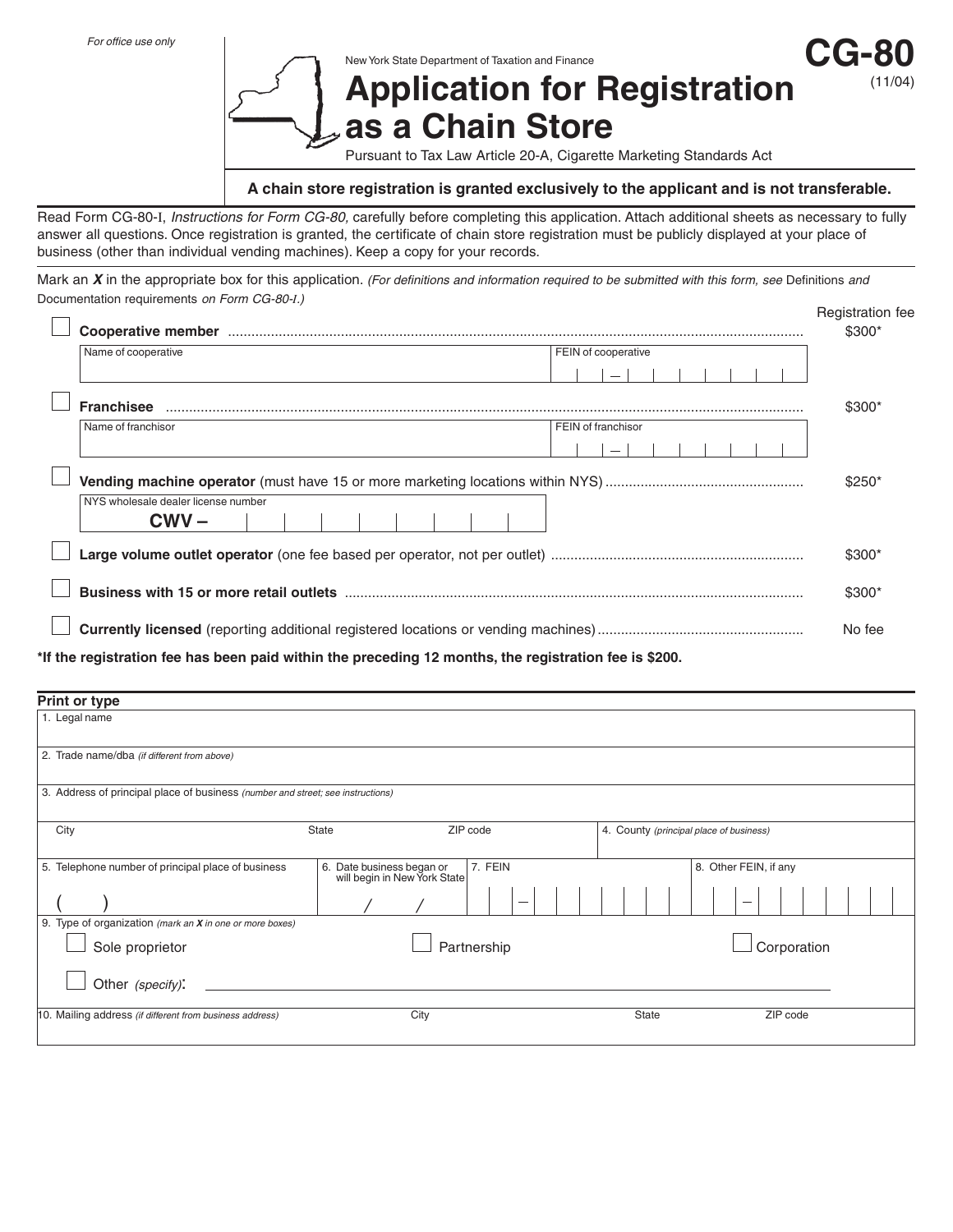

### **A chain store registration is granted exclusively to the applicant and is not transferable.**

Read Form CG-80-I, Instructions for Form CG-80, carefully before completing this application. Attach additional sheets as necessary to fully answer all questions. Once registration is granted, the certificate of chain store registration must be publicly displayed at your place of business (other than individual vending machines). Keep a copy for your records.

Mark an X in the appropriate box for this application. (For definitions and information required to be submitted with this form, see Definitions and Documentation requirements on Form CG-80-*I*.)

| $\sim$                                         | <b>Registration fee</b><br>\$300* |
|------------------------------------------------|-----------------------------------|
| Name of cooperative<br>FEIN of cooperative     |                                   |
|                                                |                                   |
| <b>Franchisee</b>                              | \$300                             |
| Name of franchisor<br>FEIN of franchisor       |                                   |
|                                                |                                   |
|                                                | \$250'                            |
| NYS wholesale dealer license number<br>$CMV -$ |                                   |
|                                                | \$300*                            |
|                                                | \$300*                            |
|                                                | No fee                            |

**\*If the registration fee has been paid within the preceding 12 months, the registration fee is \$200.**

| Print or type                                                                   |                                                           |             |                                         |                       |
|---------------------------------------------------------------------------------|-----------------------------------------------------------|-------------|-----------------------------------------|-----------------------|
| 1. Legal name                                                                   |                                                           |             |                                         |                       |
| 2. Trade name/dba (if different from above)                                     |                                                           |             |                                         |                       |
| 3. Address of principal place of business (number and street; see instructions) |                                                           |             |                                         |                       |
| City                                                                            | State                                                     | ZIP code    | 4. County (principal place of business) |                       |
| 5. Telephone number of principal place of business                              | 6. Date business began or<br>will begin in New York State | 7. FEIN     |                                         | 8. Other FEIN, if any |
|                                                                                 |                                                           |             |                                         |                       |
| 9. Type of organization (mark an $X$ in one or more boxes)                      |                                                           |             |                                         |                       |
| Sole proprietor                                                                 |                                                           | Partnership |                                         | Corporation           |
| Other (specify):                                                                |                                                           |             |                                         |                       |
| 10. Mailing address (if different from business address)                        | City                                                      |             | State                                   | ZIP code              |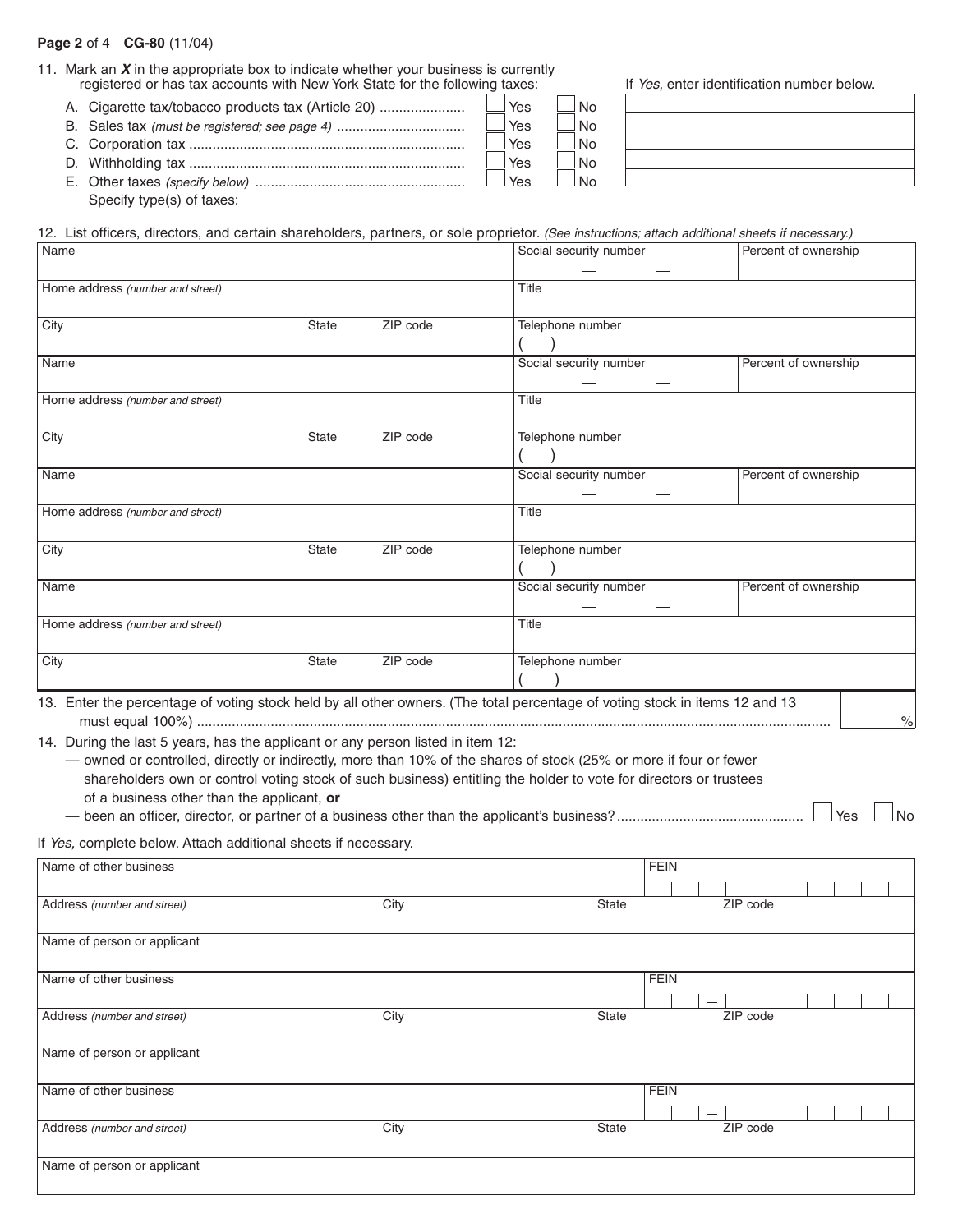## **Page 2** of 4 **CG-80** (11/04)

| 11. Mark an $X$ in the appropriate box to indicate whether your business is currently<br>registered or has tax accounts with New York State for the following taxes: |                                                    |  |                  |  |           | If Yes, enter identification number below. |
|----------------------------------------------------------------------------------------------------------------------------------------------------------------------|----------------------------------------------------|--|------------------|--|-----------|--------------------------------------------|
|                                                                                                                                                                      | A. Cigarette tax/tobacco products tax (Article 20) |  | Yes              |  | $\Box$ No |                                            |
|                                                                                                                                                                      | B. Sales tax (must be registered; see page 4)      |  | $\sqcup$ Yes     |  | $\Box$ No |                                            |
|                                                                                                                                                                      |                                                    |  | Yes              |  | ⊿No       |                                            |
|                                                                                                                                                                      |                                                    |  | <sup>l</sup> Yes |  | $\Box$ No |                                            |
|                                                                                                                                                                      |                                                    |  | Yes              |  | l No      |                                            |
|                                                                                                                                                                      | Specify type(s) of taxes:                          |  |                  |  |           |                                            |

12. List officers, directors, and certain shareholders, partners, or sole proprietor. (See instructions; attach additional sheets if necessary.)

| Name                                                                            |              |          | Social security number                                                                                                                                                                                                                 | Percent of ownership |
|---------------------------------------------------------------------------------|--------------|----------|----------------------------------------------------------------------------------------------------------------------------------------------------------------------------------------------------------------------------------------|----------------------|
| Home address (number and street)                                                |              |          | Title                                                                                                                                                                                                                                  |                      |
| City                                                                            | <b>State</b> | ZIP code | Telephone number                                                                                                                                                                                                                       |                      |
| Name                                                                            |              |          | Social security number                                                                                                                                                                                                                 | Percent of ownership |
| Home address (number and street)                                                |              |          | Title                                                                                                                                                                                                                                  |                      |
| City                                                                            | <b>State</b> | ZIP code | Telephone number                                                                                                                                                                                                                       |                      |
| Name                                                                            |              |          | Social security number                                                                                                                                                                                                                 | Percent of ownership |
| Home address (number and street)                                                |              |          | Title                                                                                                                                                                                                                                  |                      |
| City                                                                            | <b>State</b> | ZIP code | Telephone number                                                                                                                                                                                                                       |                      |
| Name                                                                            |              |          | Social security number                                                                                                                                                                                                                 | Percent of ownership |
| Home address (number and street)                                                |              |          | Title                                                                                                                                                                                                                                  |                      |
| City                                                                            | State        | ZIP code | Telephone number                                                                                                                                                                                                                       |                      |
| 14. During the last 5 years, has the applicant or any person listed in item 12: |              |          | 13. Enter the percentage of voting stock held by all other owners. (The total percentage of voting stock in items 12 and 13                                                                                                            | $\%$                 |
| of a business other than the applicant, or                                      |              |          | - owned or controlled, directly or indirectly, more than 10% of the shares of stock (25% or more if four or fewer<br>shareholders own or control voting stock of such business) entitling the holder to vote for directors or trustees |                      |
| If Yes, complete below. Attach additional sheets if necessary.                  |              |          |                                                                                                                                                                                                                                        | <b>No</b><br>Yes     |
| Name of other business                                                          |              |          | <b>FEIN</b>                                                                                                                                                                                                                            |                      |
| Address (number and street)                                                     |              | City     | <b>State</b>                                                                                                                                                                                                                           | ZIP code             |
| Name of person or applicant                                                     |              |          |                                                                                                                                                                                                                                        |                      |
| Name of other business                                                          |              |          | <b>FEIN</b>                                                                                                                                                                                                                            |                      |
| Address (number and street)                                                     |              | City     | State                                                                                                                                                                                                                                  | ZIP code             |
| Name of person or applicant                                                     |              |          |                                                                                                                                                                                                                                        |                      |
| Name of other business                                                          |              |          | <b>FEIN</b>                                                                                                                                                                                                                            |                      |
| Address (number and street)                                                     |              | City     | State                                                                                                                                                                                                                                  | ZIP code             |
| Name of person or applicant                                                     |              |          |                                                                                                                                                                                                                                        |                      |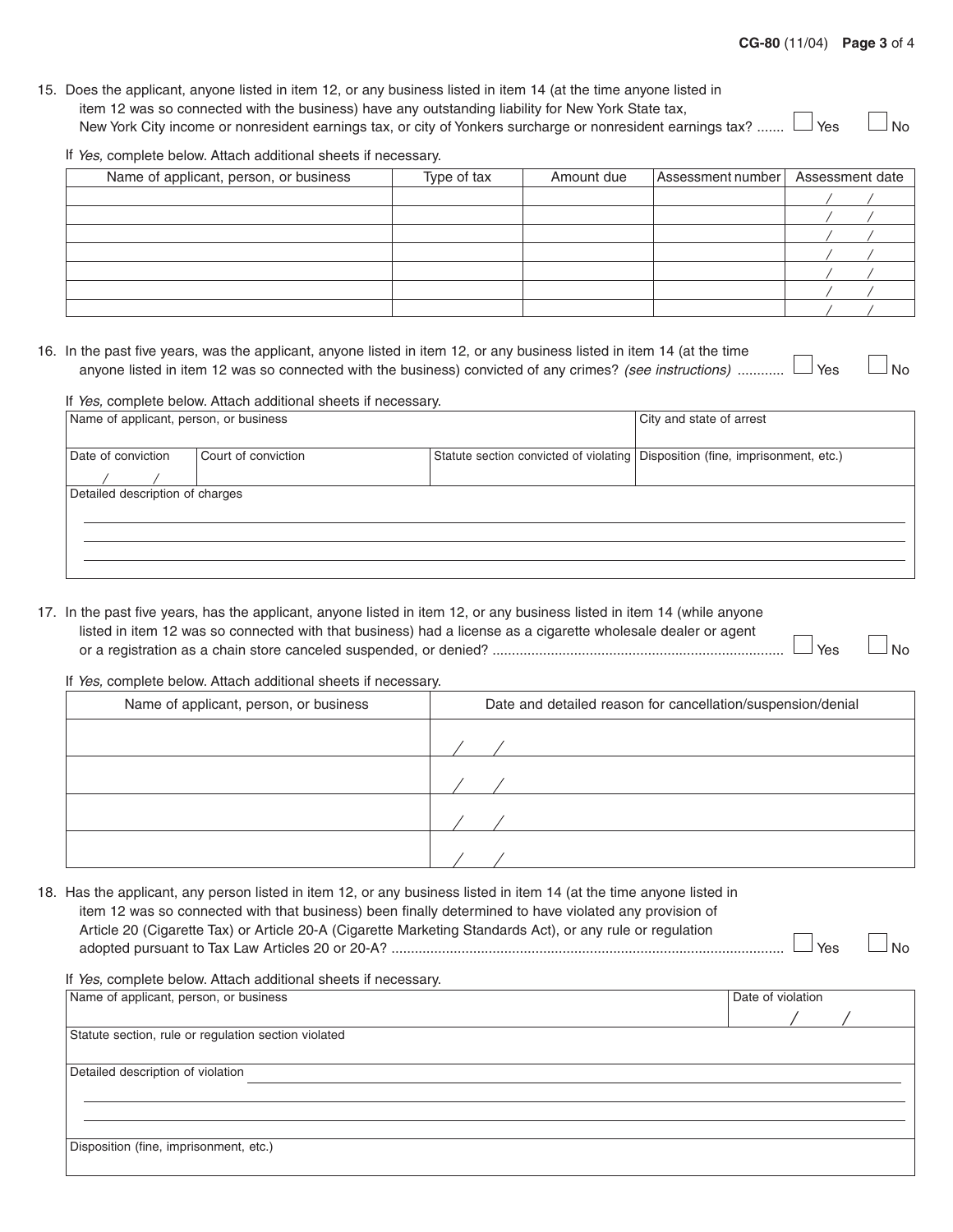| 15. Does the applicant, anyone listed in item 12, or any business listed in item 14 (at the time anyone listed in  |           |
|--------------------------------------------------------------------------------------------------------------------|-----------|
| item 12 was so connected with the business) have any outstanding liability for New York State tax,                 |           |
| New York City income or nonresident earnings tax, or city of Yonkers surcharge or nonresident earnings tax?  └ Yes | $\Box$ No |

If Yes, complete below. Attach additional sheets if necessary.

| Name of applicant, person, or business | Type of tax | Amount due | Assessment number   Assessment date |  |
|----------------------------------------|-------------|------------|-------------------------------------|--|
|                                        |             |            |                                     |  |
|                                        |             |            |                                     |  |
|                                        |             |            |                                     |  |
|                                        |             |            |                                     |  |
|                                        |             |            |                                     |  |
|                                        |             |            |                                     |  |
|                                        |             |            |                                     |  |

16. In the past five years, was the applicant, anyone listed in item 12, or any business listed in item 14 (at the time anyone listed in item 12 was so connected with the business) convicted of any crimes? (see instructions) ............  $\Box$  Yes  $\Box$  No

#### If Yes, complete below. Attach additional sheets if necessary.

| Name of applicant, person, or business |                     | City and state of arrest |                                                                                 |  |  |  |  |
|----------------------------------------|---------------------|--------------------------|---------------------------------------------------------------------------------|--|--|--|--|
| Date of conviction                     | Court of conviction |                          |                                                                                 |  |  |  |  |
|                                        |                     |                          | Statute section convicted of violating   Disposition (fine, imprisonment, etc.) |  |  |  |  |
| Detailed description of charges        |                     |                          |                                                                                 |  |  |  |  |
|                                        |                     |                          |                                                                                 |  |  |  |  |
|                                        |                     |                          |                                                                                 |  |  |  |  |
|                                        |                     |                          |                                                                                 |  |  |  |  |
|                                        |                     |                          |                                                                                 |  |  |  |  |
|                                        |                     |                          |                                                                                 |  |  |  |  |

17. In the past five years, has the applicant, anyone listed in item 12, or any business listed in item 14 (while anyone listed in item 12 was so connected with that business) had a license as a cigarette wholesale dealer or agent or a registration as a chain store canceled suspended, or denied? ........................................................................... Yes No

If Yes, complete below. Attach additional sheets if necessary.

| Name of applicant, person, or business | Date and detailed reason for cancellation/suspension/denial |
|----------------------------------------|-------------------------------------------------------------|
|                                        |                                                             |
|                                        |                                                             |
|                                        |                                                             |
|                                        |                                                             |

18. Has the applicant, any person listed in item 12, or any business listed in item 14 (at the time anyone listed in item 12 was so connected with that business) been finally determined to have violated any provision of Article 20 (Cigarette Tax) or Article 20-A (Cigarette Marketing Standards Act), or any rule or regulation  $\overline{z}$  definition  $\overline{z}$  (eigencite i.e., or  $\overline{z}$ ). The  $\overline{z}$  conductive walleng elements excluded by the or regulation

If Yes, complete below. Attach additional sheets if necessary.

| Name of applicant, person, or business               | Date of violation |  |  |  |  |  |  |
|------------------------------------------------------|-------------------|--|--|--|--|--|--|
|                                                      |                   |  |  |  |  |  |  |
| Statute section, rule or regulation section violated |                   |  |  |  |  |  |  |
|                                                      |                   |  |  |  |  |  |  |
| Detailed description of violation                    |                   |  |  |  |  |  |  |
|                                                      |                   |  |  |  |  |  |  |
|                                                      |                   |  |  |  |  |  |  |
|                                                      |                   |  |  |  |  |  |  |
| Disposition (fine, imprisonment, etc.)               |                   |  |  |  |  |  |  |
|                                                      |                   |  |  |  |  |  |  |